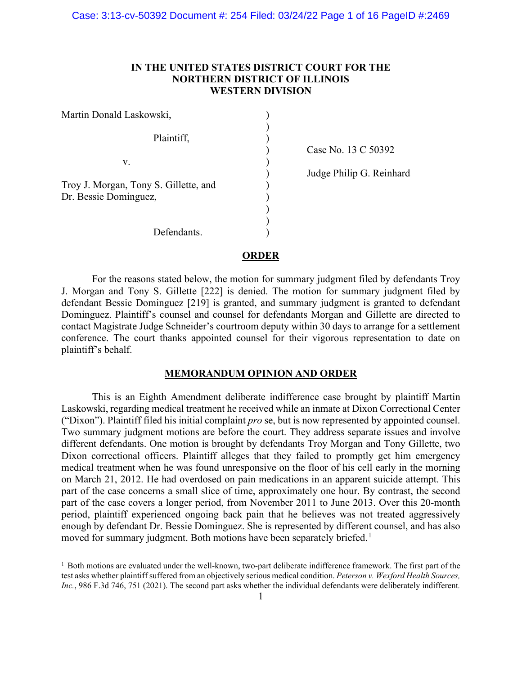# **IN THE UNITED STATES DISTRICT COURT FOR THE NORTHERN DISTRICT OF ILLINOIS WESTERN DIVISION**

| Martin Donald Laskowski,                                       |  |
|----------------------------------------------------------------|--|
| Plaintiff,                                                     |  |
| V.                                                             |  |
| Troy J. Morgan, Tony S. Gillette, and<br>Dr. Bessie Dominguez, |  |
| Defendants.                                                    |  |

) Case No. 13 C 50392

) Judge Philip G. Reinhard

#### **ORDER**

For the reasons stated below, the motion for summary judgment filed by defendants Troy J. Morgan and Tony S. Gillette [222] is denied. The motion for summary judgment filed by defendant Bessie Dominguez [219] is granted, and summary judgment is granted to defendant Dominguez. Plaintiff's counsel and counsel for defendants Morgan and Gillette are directed to contact Magistrate Judge Schneider's courtroom deputy within 30 days to arrange for a settlement conference. The court thanks appointed counsel for their vigorous representation to date on plaintiff's behalf.

## **MEMORANDUM OPINION AND ORDER**

This is an Eighth Amendment deliberate indifference case brought by plaintiff Martin Laskowski, regarding medical treatment he received while an inmate at Dixon Correctional Center ("Dixon"). Plaintiff filed his initial complaint *pro* se, but is now represented by appointed counsel. Two summary judgment motions are before the court. They address separate issues and involve different defendants. One motion is brought by defendants Troy Morgan and Tony Gillette, two Dixon correctional officers. Plaintiff alleges that they failed to promptly get him emergency medical treatment when he was found unresponsive on the floor of his cell early in the morning on March 21, 2012. He had overdosed on pain medications in an apparent suicide attempt. This part of the case concerns a small slice of time, approximately one hour. By contrast, the second part of the case covers a longer period, from November 2011 to June 2013. Over this 20-month period, plaintiff experienced ongoing back pain that he believes was not treated aggressively enough by defendant Dr. Bessie Dominguez. She is represented by different counsel, and has also moved for summary judgment. Both motions have been separately briefed.<sup>[1](#page-0-0)</sup>

<span id="page-0-0"></span><sup>&</sup>lt;sup>1</sup> Both motions are evaluated under the well-known, two-part deliberate indifference framework. The first part of the test asks whether plaintiff suffered from an objectively serious medical condition. *Peterson v. Wexford Health Sources, Inc.*, 986 F.3d 746, 751 (2021). The second part asks whether the individual defendants were deliberately indifferent*.*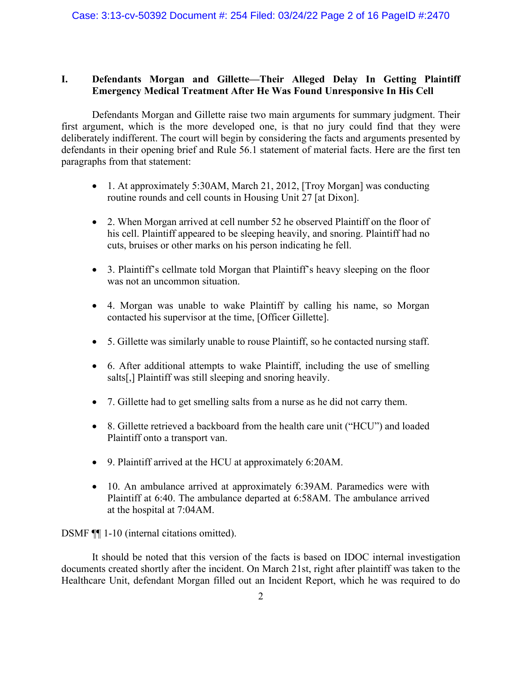# **I. Defendants Morgan and Gillette—Their Alleged Delay In Getting Plaintiff Emergency Medical Treatment After He Was Found Unresponsive In His Cell**

Defendants Morgan and Gillette raise two main arguments for summary judgment. Their first argument, which is the more developed one, is that no jury could find that they were deliberately indifferent. The court will begin by considering the facts and arguments presented by defendants in their opening brief and Rule 56.1 statement of material facts. Here are the first ten paragraphs from that statement:

- 1. At approximately 5:30AM, March 21, 2012, [Troy Morgan] was conducting routine rounds and cell counts in Housing Unit 27 [at Dixon].
- 2. When Morgan arrived at cell number 52 he observed Plaintiff on the floor of his cell. Plaintiff appeared to be sleeping heavily, and snoring. Plaintiff had no cuts, bruises or other marks on his person indicating he fell.
- 3. Plaintiff's cellmate told Morgan that Plaintiff's heavy sleeping on the floor was not an uncommon situation.
- 4. Morgan was unable to wake Plaintiff by calling his name, so Morgan contacted his supervisor at the time, [Officer Gillette].
- 5. Gillette was similarly unable to rouse Plaintiff, so he contacted nursing staff.
- 6. After additional attempts to wake Plaintiff, including the use of smelling salts[,] Plaintiff was still sleeping and snoring heavily.
- 7. Gillette had to get smelling salts from a nurse as he did not carry them.
- 8. Gillette retrieved a backboard from the health care unit ("HCU") and loaded Plaintiff onto a transport van.
- 9. Plaintiff arrived at the HCU at approximately 6:20AM.
- 10. An ambulance arrived at approximately 6:39AM. Paramedics were with Plaintiff at 6:40. The ambulance departed at 6:58AM. The ambulance arrived at the hospital at 7:04AM.

DSMF ¶¶ 1-10 (internal citations omitted).

It should be noted that this version of the facts is based on IDOC internal investigation documents created shortly after the incident. On March 21st, right after plaintiff was taken to the Healthcare Unit, defendant Morgan filled out an Incident Report, which he was required to do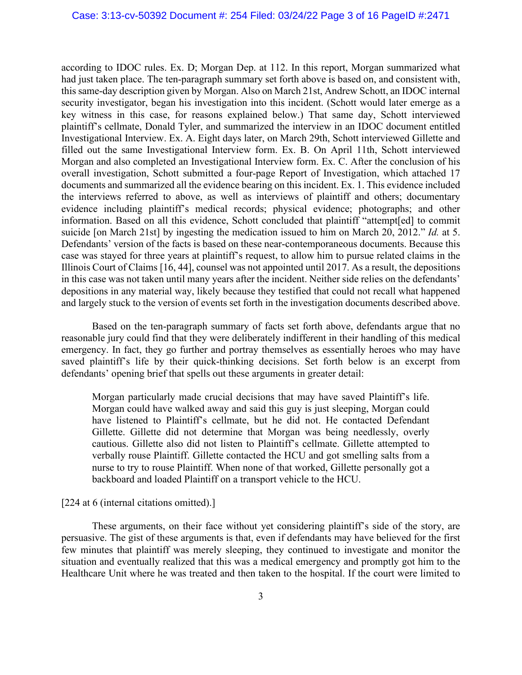according to IDOC rules. Ex. D; Morgan Dep. at 112. In this report, Morgan summarized what had just taken place. The ten-paragraph summary set forth above is based on, and consistent with, this same-day description given by Morgan. Also on March 21st, Andrew Schott, an IDOC internal security investigator, began his investigation into this incident. (Schott would later emerge as a key witness in this case, for reasons explained below.) That same day, Schott interviewed plaintiff's cellmate, Donald Tyler, and summarized the interview in an IDOC document entitled Investigational Interview. Ex. A. Eight days later, on March 29th, Schott interviewed Gillette and filled out the same Investigational Interview form. Ex. B. On April 11th, Schott interviewed Morgan and also completed an Investigational Interview form. Ex. C. After the conclusion of his overall investigation, Schott submitted a four-page Report of Investigation, which attached 17 documents and summarized all the evidence bearing on this incident. Ex. 1. This evidence included the interviews referred to above, as well as interviews of plaintiff and others; documentary evidence including plaintiff's medical records; physical evidence; photographs; and other information. Based on all this evidence, Schott concluded that plaintiff "attempt[ed] to commit suicide [on March 21st] by ingesting the medication issued to him on March 20, 2012." *Id.* at 5. Defendants' version of the facts is based on these near-contemporaneous documents. Because this case was stayed for three years at plaintiff's request, to allow him to pursue related claims in the Illinois Court of Claims [16, 44], counsel was not appointed until 2017. As a result, the depositions in this case was not taken until many years after the incident. Neither side relies on the defendants' depositions in any material way, likely because they testified that could not recall what happened and largely stuck to the version of events set forth in the investigation documents described above.

Based on the ten-paragraph summary of facts set forth above, defendants argue that no reasonable jury could find that they were deliberately indifferent in their handling of this medical emergency. In fact, they go further and portray themselves as essentially heroes who may have saved plaintiff's life by their quick-thinking decisions. Set forth below is an excerpt from defendants' opening brief that spells out these arguments in greater detail:

Morgan particularly made crucial decisions that may have saved Plaintiff's life. Morgan could have walked away and said this guy is just sleeping, Morgan could have listened to Plaintiff's cellmate, but he did not. He contacted Defendant Gillette. Gillette did not determine that Morgan was being needlessly, overly cautious. Gillette also did not listen to Plaintiff's cellmate. Gillette attempted to verbally rouse Plaintiff. Gillette contacted the HCU and got smelling salts from a nurse to try to rouse Plaintiff. When none of that worked, Gillette personally got a backboard and loaded Plaintiff on a transport vehicle to the HCU.

[224 at 6 (internal citations omitted).]

These arguments, on their face without yet considering plaintiff's side of the story, are persuasive. The gist of these arguments is that, even if defendants may have believed for the first few minutes that plaintiff was merely sleeping, they continued to investigate and monitor the situation and eventually realized that this was a medical emergency and promptly got him to the Healthcare Unit where he was treated and then taken to the hospital. If the court were limited to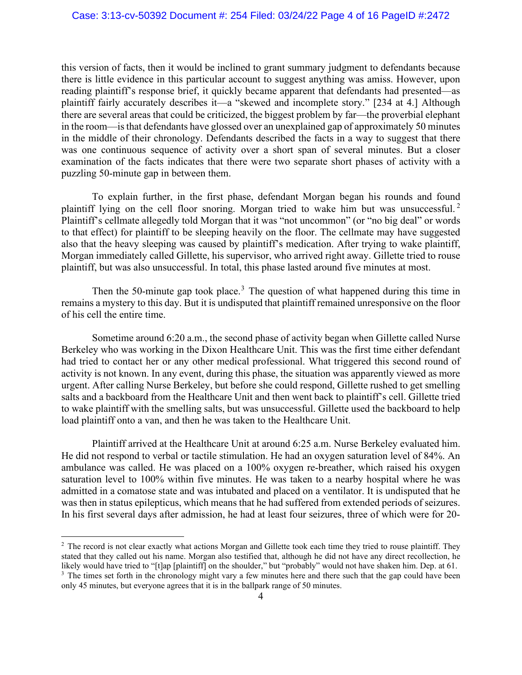this version of facts, then it would be inclined to grant summary judgment to defendants because there is little evidence in this particular account to suggest anything was amiss. However, upon reading plaintiff's response brief, it quickly became apparent that defendants had presented—as plaintiff fairly accurately describes it—a "skewed and incomplete story." [234 at 4.] Although there are several areas that could be criticized, the biggest problem by far—the proverbial elephant in the room—is that defendants have glossed over an unexplained gap of approximately 50 minutes in the middle of their chronology. Defendants described the facts in a way to suggest that there was one continuous sequence of activity over a short span of several minutes. But a closer examination of the facts indicates that there were two separate short phases of activity with a puzzling 50-minute gap in between them.

To explain further, in the first phase, defendant Morgan began his rounds and found plaintiff lying on the cell floor snoring. Morgan tried to wake him but was unsuccessful. [2](#page-3-0) Plaintiff's cellmate allegedly told Morgan that it was "not uncommon" (or "no big deal" or words to that effect) for plaintiff to be sleeping heavily on the floor. The cellmate may have suggested also that the heavy sleeping was caused by plaintiff's medication. After trying to wake plaintiff, Morgan immediately called Gillette, his supervisor, who arrived right away. Gillette tried to rouse plaintiff, but was also unsuccessful. In total, this phase lasted around five minutes at most.

Then the 50-minute gap took place.<sup>[3](#page-3-1)</sup> The question of what happened during this time in remains a mystery to this day. But it is undisputed that plaintiff remained unresponsive on the floor of his cell the entire time.

Sometime around 6:20 a.m., the second phase of activity began when Gillette called Nurse Berkeley who was working in the Dixon Healthcare Unit. This was the first time either defendant had tried to contact her or any other medical professional. What triggered this second round of activity is not known. In any event, during this phase, the situation was apparently viewed as more urgent. After calling Nurse Berkeley, but before she could respond, Gillette rushed to get smelling salts and a backboard from the Healthcare Unit and then went back to plaintiff's cell. Gillette tried to wake plaintiff with the smelling salts, but was unsuccessful. Gillette used the backboard to help load plaintiff onto a van, and then he was taken to the Healthcare Unit.

Plaintiff arrived at the Healthcare Unit at around 6:25 a.m. Nurse Berkeley evaluated him. He did not respond to verbal or tactile stimulation. He had an oxygen saturation level of 84%. An ambulance was called. He was placed on a 100% oxygen re-breather, which raised his oxygen saturation level to 100% within five minutes. He was taken to a nearby hospital where he was admitted in a comatose state and was intubated and placed on a ventilator. It is undisputed that he was then in status epilepticus, which means that he had suffered from extended periods of seizures. In his first several days after admission, he had at least four seizures, three of which were for 20-

<span id="page-3-0"></span><sup>&</sup>lt;sup>2</sup> The record is not clear exactly what actions Morgan and Gillette took each time they tried to rouse plaintiff. They stated that they called out his name. Morgan also testified that, although he did not have any direct recollection, he likely would have tried to "[t]ap [plaintiff] on the shoulder," but "probably" would not have shaken him. Dep. at 61. <sup>3</sup> The times set forth in the chronology might vary a few minutes here and there such that the gap could have been

<span id="page-3-1"></span>only 45 minutes, but everyone agrees that it is in the ballpark range of 50 minutes.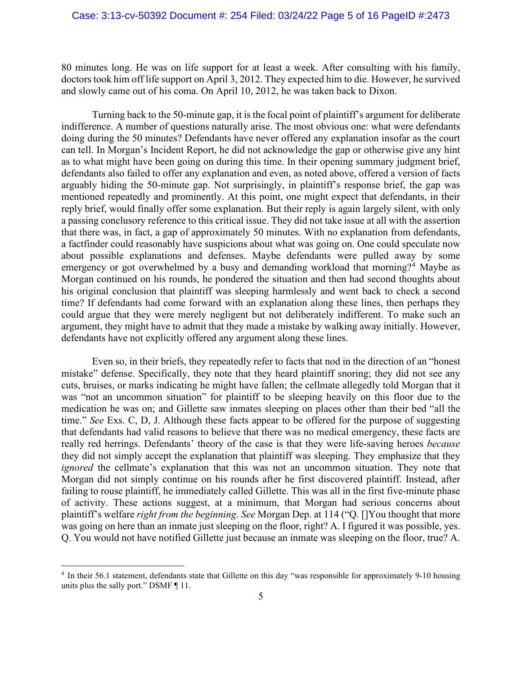80 minutes long. He was on life support for at least a week. After consulting with his family, doctors took him off life support on April 3, 2012. They expected him to die. However, he survived and slowly came out of his coma. On April 10, 2012, he was taken back to Dixon.

Turning back to the 50-minute gap, it is the focal point of plaintiff's argument for deliberate indifference. A number of questions naturally arise. The most obvious one: what were defendants doing during the 50 minutes? Defendants have never offered any explanation insofar as the court can tell. In Morgan's Incident Report, he did not acknowledge the gap or otherwise give any hint as to what might have been going on during this time. In their opening summary judgment brief, defendants also failed to offer any explanation and even, as noted above, offered a version of facts arguably hiding the 50-minute gap. Not surprisingly, in plaintiff's response brief, the gap was mentioned repeatedly and prominently. At this point, one might expect that defendants, in their reply brief, would finally offer some explanation. But their reply is again largely silent, with only a passing conclusory reference to this critical issue. They did not take issue at all with the assertion that there was, in fact, a gap of approximately 50 minutes. With no explanation from defendants, a factfinder could reasonably have suspicions about what was going on. One could speculate now about possible explanations and defenses. Maybe defendants were pulled away by some emergency or got overwhelmed by a busy and demanding workload that morning?<sup>[4](#page-4-0)</sup> Maybe as Morgan continued on his rounds, he pondered the situation and then had second thoughts about his original conclusion that plaintiff was sleeping harmlessly and went back to check a second time? If defendants had come forward with an explanation along these lines, then perhaps they could argue that they were merely negligent but not deliberately indifferent. To make such an argument, they might have to admit that they made a mistake by walking away initially. However, defendants have not explicitly offered any argument along these lines.

Even so, in their briefs, they repeatedly refer to facts that nod in the direction of an "honest mistake" defense. Specifically, they note that they heard plaintiff snoring; they did not see any cuts, bruises, or marks indicating he might have fallen; the cellmate allegedly told Morgan that it was "not an uncommon situation" for plaintiff to be sleeping heavily on this floor due to the medication he was on; and Gillette saw inmates sleeping on places other than their bed "all the time." *See* Exs. C, D, J. Although these facts appear to be offered for the purpose of suggesting that defendants had valid reasons to believe that there was no medical emergency, these facts are really red herrings. Defendants' theory of the case is that they were life-saving heroes *because*  they did not simply accept the explanation that plaintiff was sleeping. They emphasize that they *ignored* the cellmate's explanation that this was not an uncommon situation. They note that Morgan did not simply continue on his rounds after he first discovered plaintiff. Instead, after failing to rouse plaintiff, he immediately called Gillette. This was all in the first five-minute phase of activity. These actions suggest, at a minimum, that Morgan had serious concerns about plaintiff's welfare *right from the beginning*. *See* Morgan Dep. at 114 ("Q. []You thought that more was going on here than an inmate just sleeping on the floor, right? A. I figured it was possible, yes. Q. You would not have notified Gillette just because an inmate was sleeping on the floor, true? A.

<span id="page-4-0"></span><sup>4</sup> In their 56.1 statement, defendants state that Gillette on this day "was responsible for approximately 9-10 housing units plus the sally port." DSMF ¶ 11.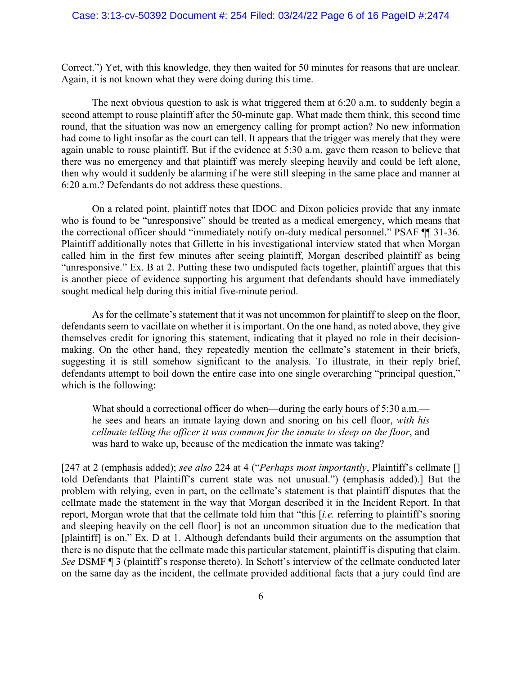Correct.") Yet, with this knowledge, they then waited for 50 minutes for reasons that are unclear. Again, it is not known what they were doing during this time.

The next obvious question to ask is what triggered them at 6:20 a.m. to suddenly begin a second attempt to rouse plaintiff after the 50-minute gap. What made them think, this second time round, that the situation was now an emergency calling for prompt action? No new information had come to light insofar as the court can tell. It appears that the trigger was merely that they were again unable to rouse plaintiff. But if the evidence at 5:30 a.m. gave them reason to believe that there was no emergency and that plaintiff was merely sleeping heavily and could be left alone, then why would it suddenly be alarming if he were still sleeping in the same place and manner at 6:20 a.m.? Defendants do not address these questions.

On a related point, plaintiff notes that IDOC and Dixon policies provide that any inmate who is found to be "unresponsive" should be treated as a medical emergency, which means that the correctional officer should "immediately notify on-duty medical personnel." PSAF ¶¶ 31-36. Plaintiff additionally notes that Gillette in his investigational interview stated that when Morgan called him in the first few minutes after seeing plaintiff, Morgan described plaintiff as being "unresponsive." Ex. B at 2. Putting these two undisputed facts together, plaintiff argues that this is another piece of evidence supporting his argument that defendants should have immediately sought medical help during this initial five-minute period.

As for the cellmate's statement that it was not uncommon for plaintiff to sleep on the floor, defendants seem to vacillate on whether it is important. On the one hand, as noted above, they give themselves credit for ignoring this statement, indicating that it played no role in their decisionmaking. On the other hand, they repeatedly mention the cellmate's statement in their briefs, suggesting it is still somehow significant to the analysis. To illustrate, in their reply brief, defendants attempt to boil down the entire case into one single overarching "principal question," which is the following:

What should a correctional officer do when—during the early hours of 5:30 a.m. he sees and hears an inmate laying down and snoring on his cell floor, *with his cellmate telling the officer it was common for the inmate to sleep on the floor*, and was hard to wake up, because of the medication the inmate was taking?

[247 at 2 (emphasis added); *see also* 224 at 4 ("*Perhaps most importantly*, Plaintiff's cellmate [] told Defendants that Plaintiff's current state was not unusual.") (emphasis added).] But the problem with relying, even in part, on the cellmate's statement is that plaintiff disputes that the cellmate made the statement in the way that Morgan described it in the Incident Report. In that report, Morgan wrote that that the cellmate told him that "this [*i.e.* referring to plaintiff's snoring and sleeping heavily on the cell floor] is not an uncommon situation due to the medication that [plaintiff] is on." Ex. D at 1. Although defendants build their arguments on the assumption that there is no dispute that the cellmate made this particular statement, plaintiff is disputing that claim. *See* DSMF ¶ 3 (plaintiff's response thereto). In Schott's interview of the cellmate conducted later on the same day as the incident, the cellmate provided additional facts that a jury could find are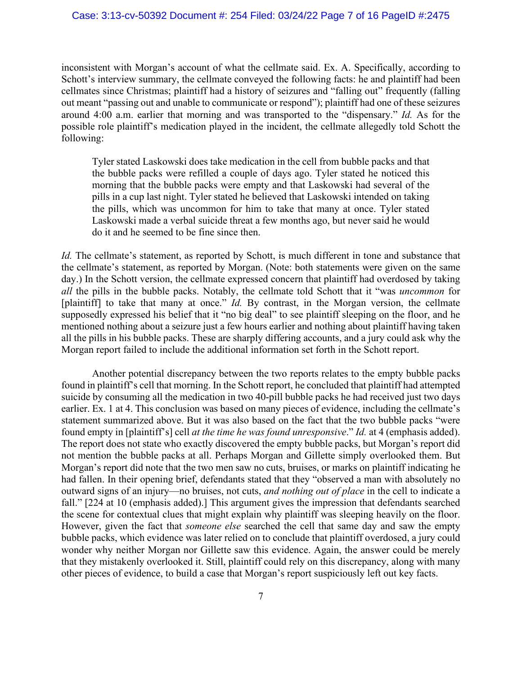#### Case: 3:13-cv-50392 Document #: 254 Filed: 03/24/22 Page 7 of 16 PageID #:2475

inconsistent with Morgan's account of what the cellmate said. Ex. A. Specifically, according to Schott's interview summary, the cellmate conveyed the following facts: he and plaintiff had been cellmates since Christmas; plaintiff had a history of seizures and "falling out" frequently (falling out meant "passing out and unable to communicate or respond"); plaintiff had one of these seizures around 4:00 a.m. earlier that morning and was transported to the "dispensary." *Id.* As for the possible role plaintiff's medication played in the incident, the cellmate allegedly told Schott the following:

Tyler stated Laskowski does take medication in the cell from bubble packs and that the bubble packs were refilled a couple of days ago. Tyler stated he noticed this morning that the bubble packs were empty and that Laskowski had several of the pills in a cup last night. Tyler stated he believed that Laskowski intended on taking the pills, which was uncommon for him to take that many at once. Tyler stated Laskowski made a verbal suicide threat a few months ago, but never said he would do it and he seemed to be fine since then.

*Id.* The cellmate's statement, as reported by Schott, is much different in tone and substance that the cellmate's statement, as reported by Morgan. (Note: both statements were given on the same day.) In the Schott version, the cellmate expressed concern that plaintiff had overdosed by taking *all* the pills in the bubble packs. Notably, the cellmate told Schott that it "was *uncommon* for [plaintiff] to take that many at once." *Id.* By contrast, in the Morgan version, the cellmate supposedly expressed his belief that it "no big deal" to see plaintiff sleeping on the floor, and he mentioned nothing about a seizure just a few hours earlier and nothing about plaintiff having taken all the pills in his bubble packs. These are sharply differing accounts, and a jury could ask why the Morgan report failed to include the additional information set forth in the Schott report.

Another potential discrepancy between the two reports relates to the empty bubble packs found in plaintiff's cell that morning. In the Schott report, he concluded that plaintiff had attempted suicide by consuming all the medication in two 40-pill bubble packs he had received just two days earlier. Ex. 1 at 4. This conclusion was based on many pieces of evidence, including the cellmate's statement summarized above. But it was also based on the fact that the two bubble packs "were found empty in [plaintiff's] cell *at the time he was found unresponsive*." *Id.* at 4 (emphasis added). The report does not state who exactly discovered the empty bubble packs, but Morgan's report did not mention the bubble packs at all. Perhaps Morgan and Gillette simply overlooked them. But Morgan's report did note that the two men saw no cuts, bruises, or marks on plaintiff indicating he had fallen. In their opening brief, defendants stated that they "observed a man with absolutely no outward signs of an injury—no bruises, not cuts, *and nothing out of place* in the cell to indicate a fall." [224 at 10 (emphasis added).] This argument gives the impression that defendants searched the scene for contextual clues that might explain why plaintiff was sleeping heavily on the floor. However, given the fact that *someone else* searched the cell that same day and saw the empty bubble packs, which evidence was later relied on to conclude that plaintiff overdosed, a jury could wonder why neither Morgan nor Gillette saw this evidence. Again, the answer could be merely that they mistakenly overlooked it. Still, plaintiff could rely on this discrepancy, along with many other pieces of evidence, to build a case that Morgan's report suspiciously left out key facts.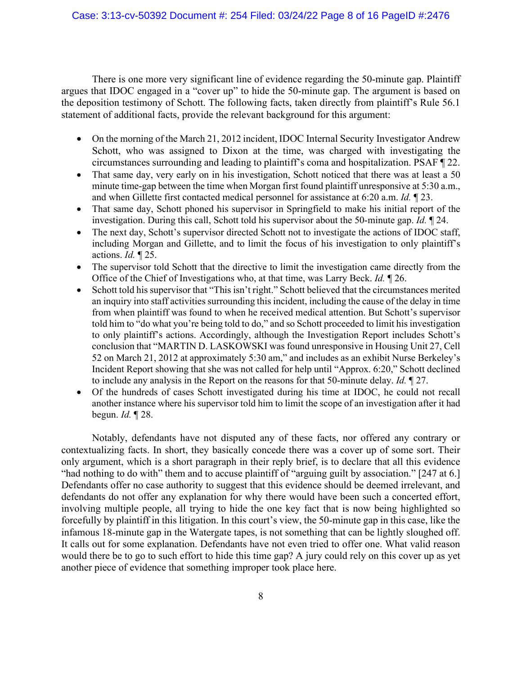There is one more very significant line of evidence regarding the 50-minute gap. Plaintiff argues that IDOC engaged in a "cover up" to hide the 50-minute gap. The argument is based on the deposition testimony of Schott. The following facts, taken directly from plaintiff's Rule 56.1 statement of additional facts, provide the relevant background for this argument:

- On the morning of the March 21, 2012 incident, IDOC Internal Security Investigator Andrew Schott, who was assigned to Dixon at the time, was charged with investigating the circumstances surrounding and leading to plaintiff's coma and hospitalization. PSAF ¶ 22.
- That same day, very early on in his investigation, Schott noticed that there was at least a 50 minute time-gap between the time when Morgan first found plaintiff unresponsive at 5:30 a.m., and when Gillette first contacted medical personnel for assistance at 6:20 a.m. *Id.* ¶ 23.
- That same day, Schott phoned his supervisor in Springfield to make his initial report of the investigation. During this call, Schott told his supervisor about the 50-minute gap. *Id.* ¶ 24.
- The next day, Schott's supervisor directed Schott not to investigate the actions of IDOC staff, including Morgan and Gillette, and to limit the focus of his investigation to only plaintiff's actions. *Id.* ¶ 25.
- The supervisor told Schott that the directive to limit the investigation came directly from the Office of the Chief of Investigations who, at that time, was Larry Beck. *Id.* ¶ 26.
- Schott told his supervisor that "This isn't right." Schott believed that the circumstances merited an inquiry into staff activities surrounding this incident, including the cause of the delay in time from when plaintiff was found to when he received medical attention. But Schott's supervisor told him to "do what you're being told to do," and so Schott proceeded to limit his investigation to only plaintiff's actions. Accordingly, although the Investigation Report includes Schott's conclusion that "MARTIN D. LASKOWSKI was found unresponsive in Housing Unit 27, Cell 52 on March 21, 2012 at approximately 5:30 am," and includes as an exhibit Nurse Berkeley's Incident Report showing that she was not called for help until "Approx. 6:20," Schott declined to include any analysis in the Report on the reasons for that 50-minute delay. *Id.* ¶ 27.
- Of the hundreds of cases Schott investigated during his time at IDOC, he could not recall another instance where his supervisor told him to limit the scope of an investigation after it had begun. *Id.* ¶ 28.

Notably, defendants have not disputed any of these facts, nor offered any contrary or contextualizing facts. In short, they basically concede there was a cover up of some sort. Their only argument, which is a short paragraph in their reply brief, is to declare that all this evidence "had nothing to do with" them and to accuse plaintiff of "arguing guilt by association." [247 at 6.] Defendants offer no case authority to suggest that this evidence should be deemed irrelevant, and defendants do not offer any explanation for why there would have been such a concerted effort, involving multiple people, all trying to hide the one key fact that is now being highlighted so forcefully by plaintiff in this litigation. In this court's view, the 50-minute gap in this case, like the infamous 18-minute gap in the Watergate tapes, is not something that can be lightly sloughed off. It calls out for some explanation. Defendants have not even tried to offer one. What valid reason would there be to go to such effort to hide this time gap? A jury could rely on this cover up as yet another piece of evidence that something improper took place here.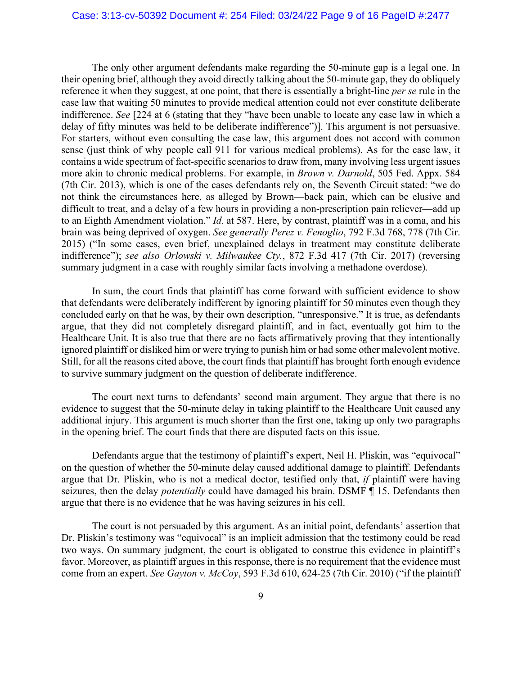#### Case: 3:13-cv-50392 Document #: 254 Filed: 03/24/22 Page 9 of 16 PageID #:2477

The only other argument defendants make regarding the 50-minute gap is a legal one. In their opening brief, although they avoid directly talking about the 50-minute gap, they do obliquely reference it when they suggest, at one point, that there is essentially a bright-line *per se* rule in the case law that waiting 50 minutes to provide medical attention could not ever constitute deliberate indifference. *See* [224 at 6 (stating that they "have been unable to locate any case law in which a delay of fifty minutes was held to be deliberate indifference")]. This argument is not persuasive. For starters, without even consulting the case law, this argument does not accord with common sense (just think of why people call 911 for various medical problems). As for the case law, it contains a wide spectrum of fact-specific scenarios to draw from, many involving less urgent issues more akin to chronic medical problems. For example, in *Brown v. Darnold*, 505 Fed. Appx. 584 (7th Cir. 2013), which is one of the cases defendants rely on, the Seventh Circuit stated: "we do not think the circumstances here, as alleged by Brown—back pain, which can be elusive and difficult to treat, and a delay of a few hours in providing a non-prescription pain reliever—add up to an Eighth Amendment violation." *Id.* at 587. Here, by contrast, plaintiff was in a coma, and his brain was being deprived of oxygen. *See generally Perez v. Fenoglio*, 792 F.3d 768, 778 (7th Cir. 2015) ("In some cases, even brief, unexplained delays in treatment may constitute deliberate indifference"); *see also Orlowski v. Milwaukee Cty.*, 872 F.3d 417 (7th Cir. 2017) (reversing summary judgment in a case with roughly similar facts involving a methadone overdose).

In sum, the court finds that plaintiff has come forward with sufficient evidence to show that defendants were deliberately indifferent by ignoring plaintiff for 50 minutes even though they concluded early on that he was, by their own description, "unresponsive." It is true, as defendants argue, that they did not completely disregard plaintiff, and in fact, eventually got him to the Healthcare Unit. It is also true that there are no facts affirmatively proving that they intentionally ignored plaintiff or disliked him or were trying to punish him or had some other malevolent motive. Still, for all the reasons cited above, the court finds that plaintiff has brought forth enough evidence to survive summary judgment on the question of deliberate indifference.

The court next turns to defendants' second main argument. They argue that there is no evidence to suggest that the 50-minute delay in taking plaintiff to the Healthcare Unit caused any additional injury. This argument is much shorter than the first one, taking up only two paragraphs in the opening brief. The court finds that there are disputed facts on this issue.

Defendants argue that the testimony of plaintiff's expert, Neil H. Pliskin, was "equivocal" on the question of whether the 50-minute delay caused additional damage to plaintiff. Defendants argue that Dr. Pliskin, who is not a medical doctor, testified only that, *if* plaintiff were having seizures, then the delay *potentially* could have damaged his brain. DSMF ¶ 15. Defendants then argue that there is no evidence that he was having seizures in his cell.

The court is not persuaded by this argument. As an initial point, defendants' assertion that Dr. Pliskin's testimony was "equivocal" is an implicit admission that the testimony could be read two ways. On summary judgment, the court is obligated to construe this evidence in plaintiff's favor. Moreover, as plaintiff argues in this response, there is no requirement that the evidence must come from an expert. *See Gayton v. McCoy*, 593 F.3d 610, 624-25 (7th Cir. 2010) ("if the plaintiff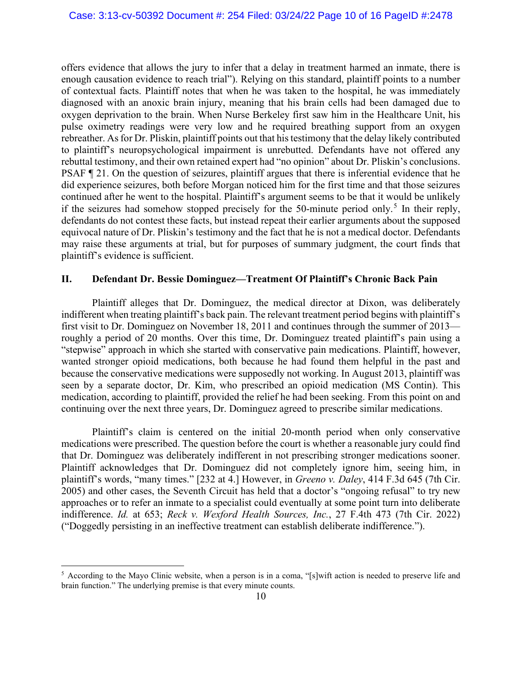offers evidence that allows the jury to infer that a delay in treatment harmed an inmate, there is enough causation evidence to reach trial"). Relying on this standard, plaintiff points to a number of contextual facts. Plaintiff notes that when he was taken to the hospital, he was immediately diagnosed with an anoxic brain injury, meaning that his brain cells had been damaged due to oxygen deprivation to the brain. When Nurse Berkeley first saw him in the Healthcare Unit, his pulse oximetry readings were very low and he required breathing support from an oxygen rebreather. As for Dr. Pliskin, plaintiff points out that his testimony that the delay likely contributed to plaintiff's neuropsychological impairment is unrebutted. Defendants have not offered any rebuttal testimony, and their own retained expert had "no opinion" about Dr. Pliskin's conclusions. PSAF ¶ 21. On the question of seizures, plaintiff argues that there is inferential evidence that he did experience seizures, both before Morgan noticed him for the first time and that those seizures continued after he went to the hospital. Plaintiff's argument seems to be that it would be unlikely if the seizures had somehow stopped precisely for the [5](#page-9-0)0-minute period only.<sup>5</sup> In their reply, defendants do not contest these facts, but instead repeat their earlier arguments about the supposed equivocal nature of Dr. Pliskin's testimony and the fact that he is not a medical doctor. Defendants may raise these arguments at trial, but for purposes of summary judgment, the court finds that plaintiff's evidence is sufficient.

## **II. Defendant Dr. Bessie Dominguez—Treatment Of Plaintiff's Chronic Back Pain**

Plaintiff alleges that Dr. Dominguez, the medical director at Dixon, was deliberately indifferent when treating plaintiff's back pain. The relevant treatment period begins with plaintiff's first visit to Dr. Dominguez on November 18, 2011 and continues through the summer of 2013 roughly a period of 20 months. Over this time, Dr. Dominguez treated plaintiff's pain using a "stepwise" approach in which she started with conservative pain medications. Plaintiff, however, wanted stronger opioid medications, both because he had found them helpful in the past and because the conservative medications were supposedly not working. In August 2013, plaintiff was seen by a separate doctor, Dr. Kim, who prescribed an opioid medication (MS Contin). This medication, according to plaintiff, provided the relief he had been seeking. From this point on and continuing over the next three years, Dr. Dominguez agreed to prescribe similar medications.

Plaintiff's claim is centered on the initial 20-month period when only conservative medications were prescribed. The question before the court is whether a reasonable jury could find that Dr. Dominguez was deliberately indifferent in not prescribing stronger medications sooner. Plaintiff acknowledges that Dr. Dominguez did not completely ignore him, seeing him, in plaintiff's words, "many times." [232 at 4.] However, in *Greeno v. Daley*, 414 F.3d 645 (7th Cir. 2005) and other cases, the Seventh Circuit has held that a doctor's "ongoing refusal" to try new approaches or to refer an inmate to a specialist could eventually at some point turn into deliberate indifference. *Id.* at 653; *Reck v. Wexford Health Sources, Inc.*, 27 F.4th 473 (7th Cir. 2022) ("Doggedly persisting in an ineffective treatment can establish deliberate indifference.").

<span id="page-9-0"></span><sup>5</sup> According to the Mayo Clinic website, when a person is in a coma, "[s]wift action is needed to preserve life and brain function." The underlying premise is that every minute counts.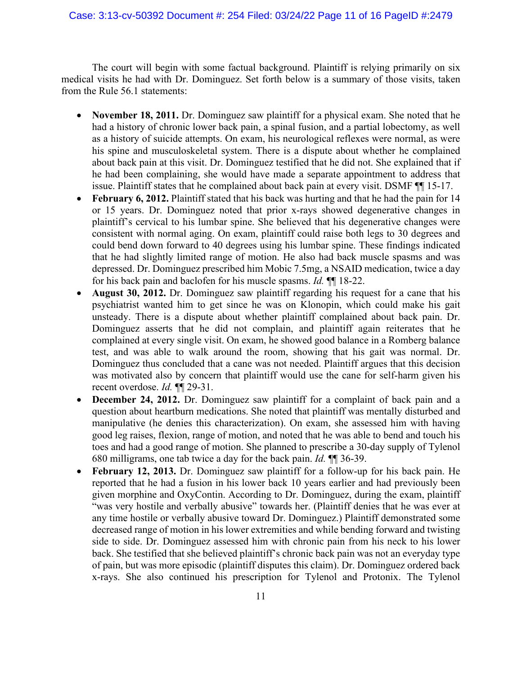# Case: 3:13-cv-50392 Document #: 254 Filed: 03/24/22 Page 11 of 16 PageID #:2479

The court will begin with some factual background. Plaintiff is relying primarily on six medical visits he had with Dr. Dominguez. Set forth below is a summary of those visits, taken from the Rule 56.1 statements:

- **November 18, 2011.** Dr. Dominguez saw plaintiff for a physical exam. She noted that he had a history of chronic lower back pain, a spinal fusion, and a partial lobectomy, as well as a history of suicide attempts. On exam, his neurological reflexes were normal, as were his spine and musculoskeletal system. There is a dispute about whether he complained about back pain at this visit. Dr. Dominguez testified that he did not. She explained that if he had been complaining, she would have made a separate appointment to address that issue. Plaintiff states that he complained about back pain at every visit. DSMF ¶¶ 15-17.
- **February 6, 2012.** Plaintiff stated that his back was hurting and that he had the pain for 14 or 15 years. Dr. Dominguez noted that prior x-rays showed degenerative changes in plaintiff's cervical to his lumbar spine. She believed that his degenerative changes were consistent with normal aging. On exam, plaintiff could raise both legs to 30 degrees and could bend down forward to 40 degrees using his lumbar spine. These findings indicated that he had slightly limited range of motion. He also had back muscle spasms and was depressed. Dr. Dominguez prescribed him Mobic 7.5mg, a NSAID medication, twice a day for his back pain and baclofen for his muscle spasms. *Id.* ¶¶ 18-22.
- **August 30, 2012.** Dr. Dominguez saw plaintiff regarding his request for a cane that his psychiatrist wanted him to get since he was on Klonopin, which could make his gait unsteady. There is a dispute about whether plaintiff complained about back pain. Dr. Dominguez asserts that he did not complain, and plaintiff again reiterates that he complained at every single visit. On exam, he showed good balance in a Romberg balance test, and was able to walk around the room, showing that his gait was normal. Dr. Dominguez thus concluded that a cane was not needed. Plaintiff argues that this decision was motivated also by concern that plaintiff would use the cane for self-harm given his recent overdose. *Id.* ¶¶ 29-31.
- **December 24, 2012.** Dr. Dominguez saw plaintiff for a complaint of back pain and a question about heartburn medications. She noted that plaintiff was mentally disturbed and manipulative (he denies this characterization). On exam, she assessed him with having good leg raises, flexion, range of motion, and noted that he was able to bend and touch his toes and had a good range of motion. She planned to prescribe a 30-day supply of Tylenol 680 milligrams, one tab twice a day for the back pain. *Id.* ¶¶ 36-39.
- **February 12, 2013.** Dr. Dominguez saw plaintiff for a follow-up for his back pain. He reported that he had a fusion in his lower back 10 years earlier and had previously been given morphine and OxyContin. According to Dr. Dominguez, during the exam, plaintiff "was very hostile and verbally abusive" towards her. (Plaintiff denies that he was ever at any time hostile or verbally abusive toward Dr. Dominguez.) Plaintiff demonstrated some decreased range of motion in his lower extremities and while bending forward and twisting side to side. Dr. Dominguez assessed him with chronic pain from his neck to his lower back. She testified that she believed plaintiff's chronic back pain was not an everyday type of pain, but was more episodic (plaintiff disputes this claim). Dr. Dominguez ordered back x-rays. She also continued his prescription for Tylenol and Protonix. The Tylenol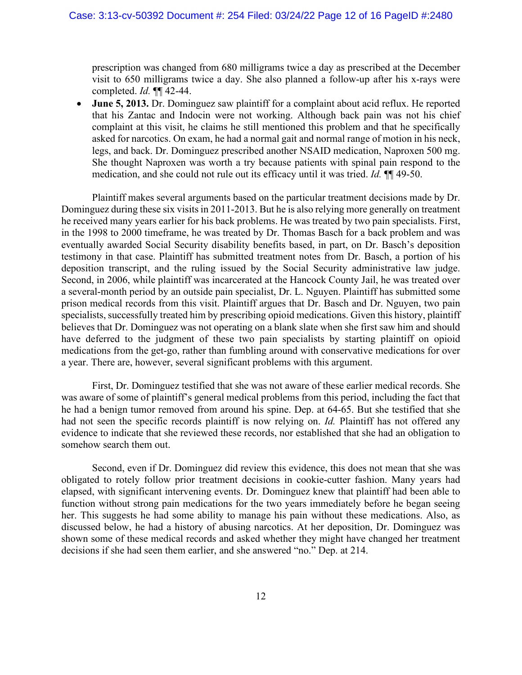prescription was changed from 680 milligrams twice a day as prescribed at the December visit to 650 milligrams twice a day. She also planned a follow-up after his x-rays were completed. *Id.* ¶¶ 42-44.

• **June 5, 2013.** Dr. Dominguez saw plaintiff for a complaint about acid reflux. He reported that his Zantac and Indocin were not working. Although back pain was not his chief complaint at this visit, he claims he still mentioned this problem and that he specifically asked for narcotics. On exam, he had a normal gait and normal range of motion in his neck, legs, and back. Dr. Dominguez prescribed another NSAID medication, Naproxen 500 mg. She thought Naproxen was worth a try because patients with spinal pain respond to the medication, and she could not rule out its efficacy until it was tried. *Id.* ¶¶ 49-50.

Plaintiff makes several arguments based on the particular treatment decisions made by Dr. Dominguez during these six visits in 2011-2013. But he is also relying more generally on treatment he received many years earlier for his back problems. He was treated by two pain specialists. First, in the 1998 to 2000 timeframe, he was treated by Dr. Thomas Basch for a back problem and was eventually awarded Social Security disability benefits based, in part, on Dr. Basch's deposition testimony in that case. Plaintiff has submitted treatment notes from Dr. Basch, a portion of his deposition transcript, and the ruling issued by the Social Security administrative law judge. Second, in 2006, while plaintiff was incarcerated at the Hancock County Jail, he was treated over a several-month period by an outside pain specialist, Dr. L. Nguyen. Plaintiff has submitted some prison medical records from this visit. Plaintiff argues that Dr. Basch and Dr. Nguyen, two pain specialists, successfully treated him by prescribing opioid medications. Given this history, plaintiff believes that Dr. Dominguez was not operating on a blank slate when she first saw him and should have deferred to the judgment of these two pain specialists by starting plaintiff on opioid medications from the get-go, rather than fumbling around with conservative medications for over a year. There are, however, several significant problems with this argument.

First, Dr. Dominguez testified that she was not aware of these earlier medical records. She was aware of some of plaintiff's general medical problems from this period, including the fact that he had a benign tumor removed from around his spine. Dep. at 64-65. But she testified that she had not seen the specific records plaintiff is now relying on. *Id.* Plaintiff has not offered any evidence to indicate that she reviewed these records, nor established that she had an obligation to somehow search them out.

Second, even if Dr. Dominguez did review this evidence, this does not mean that she was obligated to rotely follow prior treatment decisions in cookie-cutter fashion. Many years had elapsed, with significant intervening events. Dr. Dominguez knew that plaintiff had been able to function without strong pain medications for the two years immediately before he began seeing her. This suggests he had some ability to manage his pain without these medications. Also, as discussed below, he had a history of abusing narcotics. At her deposition, Dr. Dominguez was shown some of these medical records and asked whether they might have changed her treatment decisions if she had seen them earlier, and she answered "no." Dep. at 214.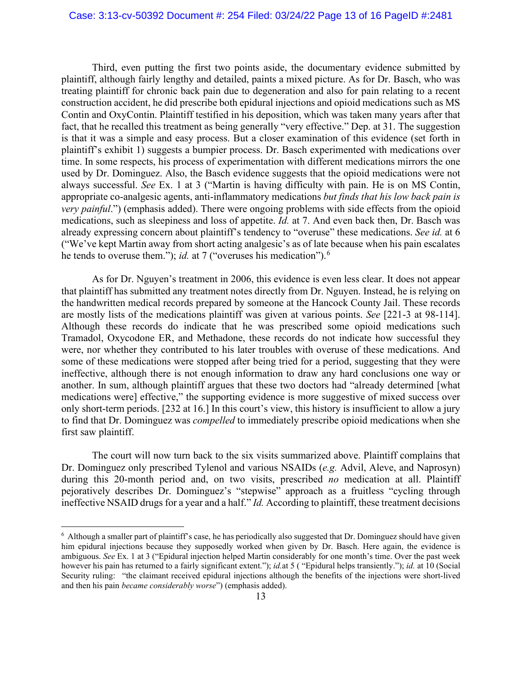### Case: 3:13-cv-50392 Document #: 254 Filed: 03/24/22 Page 13 of 16 PageID #:2481

Third, even putting the first two points aside, the documentary evidence submitted by plaintiff, although fairly lengthy and detailed, paints a mixed picture. As for Dr. Basch, who was treating plaintiff for chronic back pain due to degeneration and also for pain relating to a recent construction accident, he did prescribe both epidural injections and opioid medications such as MS Contin and OxyContin. Plaintiff testified in his deposition, which was taken many years after that fact, that he recalled this treatment as being generally "very effective." Dep. at 31. The suggestion is that it was a simple and easy process. But a closer examination of this evidence (set forth in plaintiff's exhibit 1) suggests a bumpier process. Dr. Basch experimented with medications over time. In some respects, his process of experimentation with different medications mirrors the one used by Dr. Dominguez. Also, the Basch evidence suggests that the opioid medications were not always successful. *See* Ex. 1 at 3 ("Martin is having difficulty with pain. He is on MS Contin, appropriate co-analgesic agents, anti-inflammatory medications *but finds that his low back pain is very painful.*") (emphasis added). There were ongoing problems with side effects from the opioid medications, such as sleepiness and loss of appetite. *Id.* at 7. And even back then, Dr. Basch was already expressing concern about plaintiff's tendency to "overuse" these medications. *See id.* at 6 ("We've kept Martin away from short acting analgesic's as of late because when his pain escalates he tends to overuse them."); *id.* at 7 ("overuses his medication").<sup>[6](#page-12-0)</sup>

As for Dr. Nguyen's treatment in 2006, this evidence is even less clear. It does not appear that plaintiff has submitted any treatment notes directly from Dr. Nguyen. Instead, he is relying on the handwritten medical records prepared by someone at the Hancock County Jail. These records are mostly lists of the medications plaintiff was given at various points. *See* [221-3 at 98-114]. Although these records do indicate that he was prescribed some opioid medications such Tramadol, Oxycodone ER, and Methadone, these records do not indicate how successful they were, nor whether they contributed to his later troubles with overuse of these medications. And some of these medications were stopped after being tried for a period, suggesting that they were ineffective, although there is not enough information to draw any hard conclusions one way or another. In sum, although plaintiff argues that these two doctors had "already determined [what medications were] effective," the supporting evidence is more suggestive of mixed success over only short-term periods. [232 at 16.] In this court's view, this history is insufficient to allow a jury to find that Dr. Dominguez was *compelled* to immediately prescribe opioid medications when she first saw plaintiff.

The court will now turn back to the six visits summarized above. Plaintiff complains that Dr. Dominguez only prescribed Tylenol and various NSAIDs (*e.g.* Advil, Aleve, and Naprosyn) during this 20-month period and, on two visits, prescribed *no* medication at all. Plaintiff pejoratively describes Dr. Dominguez's "stepwise" approach as a fruitless "cycling through ineffective NSAID drugs for a year and a half." *Id.* According to plaintiff, these treatment decisions

<span id="page-12-0"></span> $6$  Although a smaller part of plaintiff's case, he has periodically also suggested that Dr. Dominguez should have given him epidural injections because they supposedly worked when given by Dr. Basch. Here again, the evidence is ambiguous. *See* Ex. 1 at 3 ("Epidural injection helped Martin considerably for one month's time. Over the past week however his pain has returned to a fairly significant extent."); *id.*at 5 ( "Epidural helps transiently."); *id.* at 10 (Social Security ruling: "the claimant received epidural injections although the benefits of the injections were short-lived and then his pain *became considerably worse*") (emphasis added).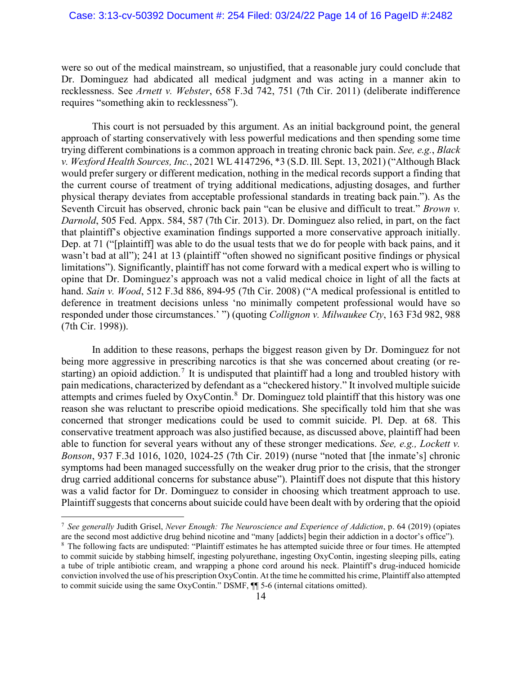were so out of the medical mainstream, so unjustified, that a reasonable jury could conclude that Dr. Dominguez had abdicated all medical judgment and was acting in a manner akin to recklessness. See *Arnett v. Webster*, 658 F.3d 742, 751 (7th Cir. 2011) (deliberate indifference requires "something akin to recklessness").

This court is not persuaded by this argument. As an initial background point, the general approach of starting conservatively with less powerful medications and then spending some time trying different combinations is a common approach in treating chronic back pain. *See, e.g.*, *Black v. Wexford Health Sources, Inc.*, 2021 WL 4147296, \*3 (S.D. Ill. Sept. 13, 2021) ("Although Black would prefer surgery or different medication, nothing in the medical records support a finding that the current course of treatment of trying additional medications, adjusting dosages, and further physical therapy deviates from acceptable professional standards in treating back pain."). As the Seventh Circuit has observed, chronic back pain "can be elusive and difficult to treat." *Brown v. Darnold*, 505 Fed. Appx. 584, 587 (7th Cir. 2013). Dr. Dominguez also relied, in part, on the fact that plaintiff's objective examination findings supported a more conservative approach initially. Dep. at 71 ("[plaintiff] was able to do the usual tests that we do for people with back pains, and it wasn't bad at all"); 241 at 13 (plaintiff "often showed no significant positive findings or physical limitations"). Significantly, plaintiff has not come forward with a medical expert who is willing to opine that Dr. Dominguez's approach was not a valid medical choice in light of all the facts at hand. *Sain v. Wood*, 512 F.3d 886, 894-95 (7th Cir. 2008) ("A medical professional is entitled to deference in treatment decisions unless 'no minimally competent professional would have so responded under those circumstances.' ") (quoting *Collignon v. Milwaukee Cty*, 163 F3d 982, 988 (7th Cir. 1998)).

In addition to these reasons, perhaps the biggest reason given by Dr. Dominguez for not being more aggressive in prescribing narcotics is that she was concerned about creating (or re-starting) an opioid addiction.<sup>[7](#page-13-0)</sup> It is undisputed that plaintiff had a long and troubled history with pain medications, characterized by defendant as a "checkered history." It involved multiple suicide attempts and crimes fueled by OxyContin.<sup>[8](#page-13-1)</sup> Dr. Dominguez told plaintiff that this history was one reason she was reluctant to prescribe opioid medications. She specifically told him that she was concerned that stronger medications could be used to commit suicide. Pl. Dep. at 68. This conservative treatment approach was also justified because, as discussed above, plaintiff had been able to function for several years without any of these stronger medications. *See, e.g., Lockett v. Bonson*, 937 F.3d 1016, 1020, 1024-25 (7th Cir. 2019) (nurse "noted that [the inmate's] chronic symptoms had been managed successfully on the weaker drug prior to the crisis, that the stronger drug carried additional concerns for substance abuse"). Plaintiff does not dispute that this history was a valid factor for Dr. Dominguez to consider in choosing which treatment approach to use. Plaintiff suggests that concerns about suicide could have been dealt with by ordering that the opioid

<span id="page-13-0"></span><sup>7</sup> *See generally* Judith Grisel, *Never Enough: The Neuroscience and Experience of Addiction*, p. 64 (2019) (opiates are the second most addictive drug behind nicotine and "many [addicts] begin their addiction in a doctor's office").

<span id="page-13-1"></span><sup>8</sup> The following facts are undisputed: "Plaintiff estimates he has attempted suicide three or four times. He attempted to commit suicide by stabbing himself, ingesting polyurethane, ingesting OxyContin, ingesting sleeping pills, eating a tube of triple antibiotic cream, and wrapping a phone cord around his neck. Plaintiff's drug-induced homicide conviction involved the use of his prescription OxyContin. At the time he committed his crime, Plaintiff also attempted to commit suicide using the same OxyContin." DSMF, ¶¶ 5-6 (internal citations omitted).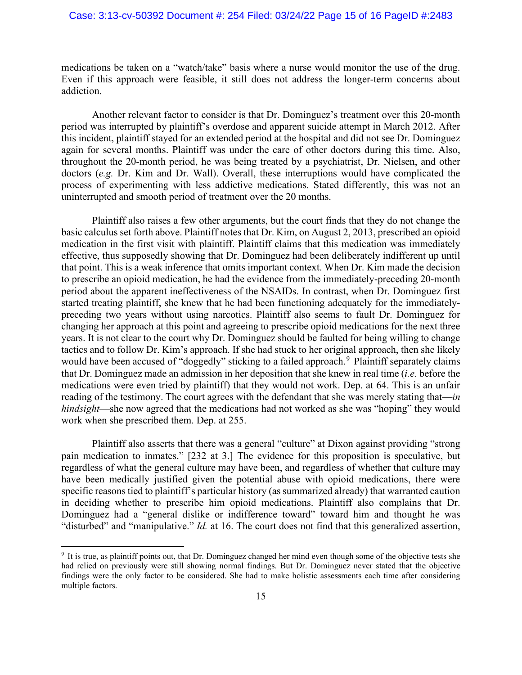### Case: 3:13-cv-50392 Document #: 254 Filed: 03/24/22 Page 15 of 16 PageID #:2483

medications be taken on a "watch/take" basis where a nurse would monitor the use of the drug. Even if this approach were feasible, it still does not address the longer-term concerns about addiction.

Another relevant factor to consider is that Dr. Dominguez's treatment over this 20-month period was interrupted by plaintiff's overdose and apparent suicide attempt in March 2012. After this incident, plaintiff stayed for an extended period at the hospital and did not see Dr. Dominguez again for several months. Plaintiff was under the care of other doctors during this time. Also, throughout the 20-month period, he was being treated by a psychiatrist, Dr. Nielsen, and other doctors (*e.g.* Dr. Kim and Dr. Wall). Overall, these interruptions would have complicated the process of experimenting with less addictive medications. Stated differently, this was not an uninterrupted and smooth period of treatment over the 20 months.

Plaintiff also raises a few other arguments, but the court finds that they do not change the basic calculus set forth above. Plaintiff notes that Dr. Kim, on August 2, 2013, prescribed an opioid medication in the first visit with plaintiff. Plaintiff claims that this medication was immediately effective, thus supposedly showing that Dr. Dominguez had been deliberately indifferent up until that point. This is a weak inference that omits important context. When Dr. Kim made the decision to prescribe an opioid medication, he had the evidence from the immediately-preceding 20-month period about the apparent ineffectiveness of the NSAIDs. In contrast, when Dr. Dominguez first started treating plaintiff, she knew that he had been functioning adequately for the immediatelypreceding two years without using narcotics. Plaintiff also seems to fault Dr. Dominguez for changing her approach at this point and agreeing to prescribe opioid medications for the next three years. It is not clear to the court why Dr. Dominguez should be faulted for being willing to change tactics and to follow Dr. Kim's approach. If she had stuck to her original approach, then she likely would have been accused of "doggedly" sticking to a failed approach.<sup>[9](#page-14-0)</sup> Plaintiff separately claims that Dr. Dominguez made an admission in her deposition that she knew in real time (*i.e.* before the medications were even tried by plaintiff) that they would not work. Dep. at 64. This is an unfair reading of the testimony. The court agrees with the defendant that she was merely stating that—*in hindsight*—she now agreed that the medications had not worked as she was "hoping" they would work when she prescribed them. Dep. at 255.

Plaintiff also asserts that there was a general "culture" at Dixon against providing "strong pain medication to inmates." [232 at 3.] The evidence for this proposition is speculative, but regardless of what the general culture may have been, and regardless of whether that culture may have been medically justified given the potential abuse with opioid medications, there were specific reasons tied to plaintiff's particular history (as summarized already) that warranted caution in deciding whether to prescribe him opioid medications. Plaintiff also complains that Dr. Dominguez had a "general dislike or indifference toward" toward him and thought he was "disturbed" and "manipulative." *Id.* at 16. The court does not find that this generalized assertion,

<span id="page-14-0"></span><sup>9</sup> It is true, as plaintiff points out, that Dr. Dominguez changed her mind even though some of the objective tests she had relied on previously were still showing normal findings. But Dr. Dominguez never stated that the objective findings were the only factor to be considered. She had to make holistic assessments each time after considering multiple factors.